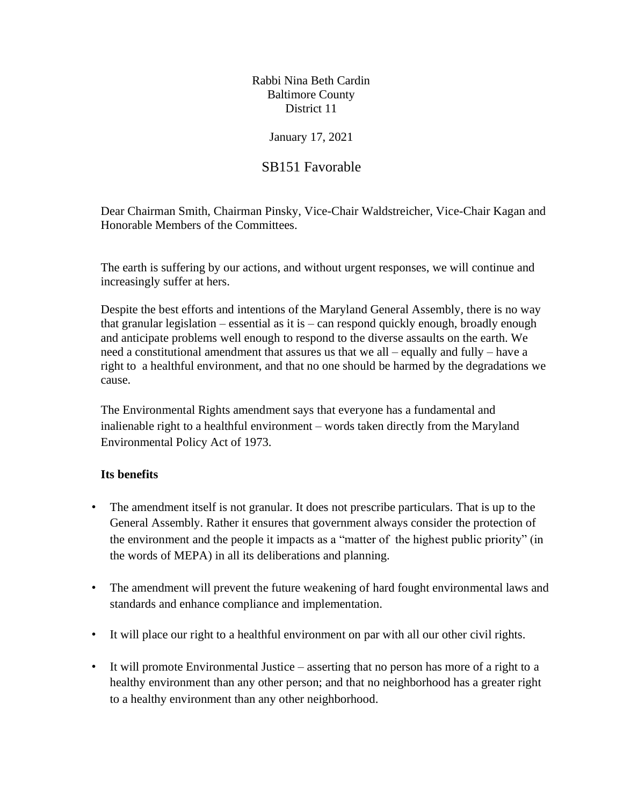Rabbi Nina Beth Cardin Baltimore County District 11

### January 17, 2021

# SB151 Favorable

Dear Chairman Smith, Chairman Pinsky, Vice-Chair Waldstreicher, Vice-Chair Kagan and Honorable Members of the Committees.

The earth is suffering by our actions, and without urgent responses, we will continue and increasingly suffer at hers.

Despite the best efforts and intentions of the Maryland General Assembly, there is no way that granular legislation – essential as it is – can respond quickly enough, broadly enough and anticipate problems well enough to respond to the diverse assaults on the earth. We need a constitutional amendment that assures us that we all – equally and fully – have a right to a healthful environment, and that no one should be harmed by the degradations we cause.

The Environmental Rights amendment says that everyone has a fundamental and inalienable right to a healthful environment – words taken directly from the Maryland Environmental Policy Act of 1973.

### **Its benefits**

- The amendment itself is not granular. It does not prescribe particulars. That is up to the General Assembly. Rather it ensures that government always consider the protection of the environment and the people it impacts as a "matter of the highest public priority" (in the words of MEPA) in all its deliberations and planning.
- The amendment will prevent the future weakening of hard fought environmental laws and standards and enhance compliance and implementation.
- It will place our right to a healthful environment on par with all our other civil rights.
- It will promote Environmental Justice asserting that no person has more of a right to a healthy environment than any other person; and that no neighborhood has a greater right to a healthy environment than any other neighborhood.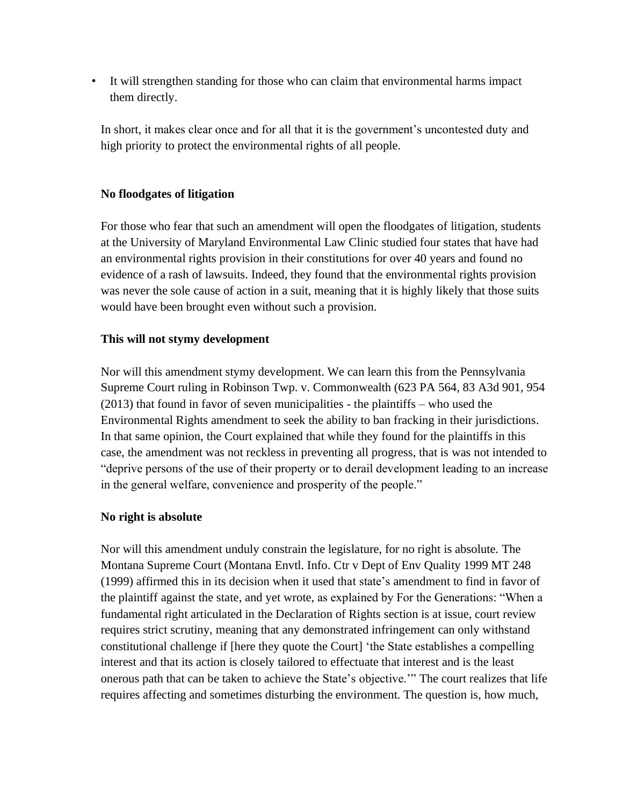• It will strengthen standing for those who can claim that environmental harms impact them directly.

In short, it makes clear once and for all that it is the government's uncontested duty and high priority to protect the environmental rights of all people.

# **No floodgates of litigation**

For those who fear that such an amendment will open the floodgates of litigation, students at the University of Maryland Environmental Law Clinic studied four states that have had an environmental rights provision in their constitutions for over 40 years and found no evidence of a rash of lawsuits. Indeed, they found that the environmental rights provision was never the sole cause of action in a suit, meaning that it is highly likely that those suits would have been brought even without such a provision.

## **This will not stymy development**

Nor will this amendment stymy development. We can learn this from the Pennsylvania Supreme Court ruling in Robinson Twp. v. Commonwealth (623 PA 564, 83 A3d 901, 954 (2013) that found in favor of seven municipalities - the plaintiffs – who used the Environmental Rights amendment to seek the ability to ban fracking in their jurisdictions. In that same opinion, the Court explained that while they found for the plaintiffs in this case, the amendment was not reckless in preventing all progress, that is was not intended to "deprive persons of the use of their property or to derail development leading to an increase in the general welfare, convenience and prosperity of the people."

## **No right is absolute**

Nor will this amendment unduly constrain the legislature, for no right is absolute. The Montana Supreme Court (Montana Envtl. Info. Ctr v Dept of Env Quality 1999 MT 248 (1999) affirmed this in its decision when it used that state's amendment to find in favor of the plaintiff against the state, and yet wrote, as explained by For the Generations: "When a fundamental right articulated in the Declaration of Rights section is at issue, court review requires strict scrutiny, meaning that any demonstrated infringement can only withstand constitutional challenge if [here they quote the Court] 'the State establishes a compelling interest and that its action is closely tailored to effectuate that interest and is the least onerous path that can be taken to achieve the State's objective.'" The court realizes that life requires affecting and sometimes disturbing the environment. The question is, how much,